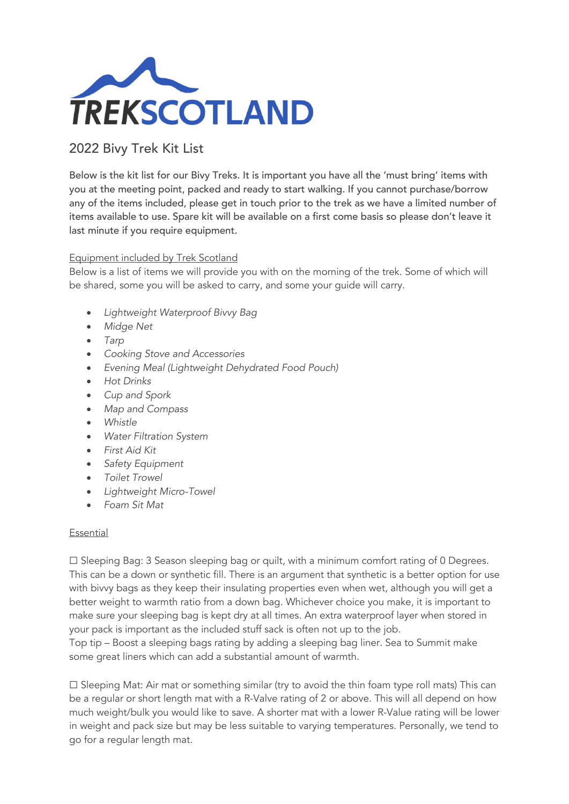

## 2022 Bivy Trek Kit List

Below is the kit list for our Bivy Treks. It is important you have all the 'must bring' items with you at the meeting point, packed and ready to start walking. If you cannot purchase/borrow any of the items included, please get in touch prior to the trek as we have a limited number of items available to use. Spare kit will be available on a first come basis so please don't leave it last minute if you require equipment.

## Equipment included by Trek Scotland

Below is a list of items we will provide you with on the morning of the trek. Some of which will be shared, some you will be asked to carry, and some your guide will carry.

- *Lightweight Waterproof Bivvy Bag*
- *Midge Net*
- *Tarp*
- *Cooking Stove and Accessories*
- *Evening Meal (Lightweight Dehydrated Food Pouch)*
- *Hot Drinks*
- *Cup and Spork*
- *Map and Compass*
- *Whistle*
- *Water Filtration System*
- *First Aid Kit*
- *Safety Equipment*
- *Toilet Trowel*
- *Lightweight Micro-Towel*
- *Foam Sit Mat*

## Essential

 $\Box$  Sleeping Bag: 3 Season sleeping bag or quilt, with a minimum comfort rating of 0 Degrees. This can be a down or synthetic fill. There is an argument that synthetic is a better option for use with bivvy bags as they keep their insulating properties even when wet, although you will get a better weight to warmth ratio from a down bag. Whichever choice you make, it is important to make sure your sleeping bag is kept dry at all times. An extra waterproof layer when stored in your pack is important as the included stuff sack is often not up to the job.

Top tip – Boost a sleeping bags rating by adding a sleeping bag liner. Sea to Summit make some great liners which can add a substantial amount of warmth.

☐ Sleeping Mat: Air mat or something similar (try to avoid the thin foam type roll mats) This can be a regular or short length mat with a R-Valve rating of 2 or above. This will all depend on how much weight/bulk you would like to save. A shorter mat with a lower R-Value rating will be lower in weight and pack size but may be less suitable to varying temperatures. Personally, we tend to go for a regular length mat.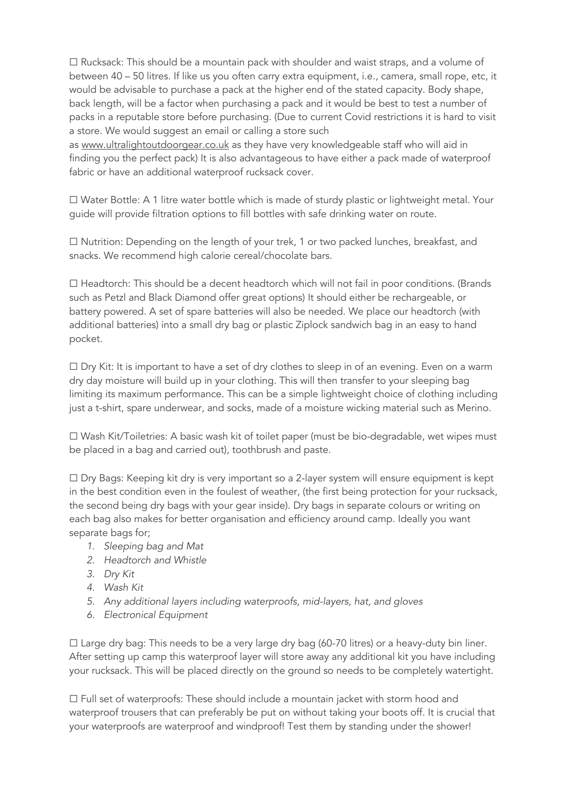☐ Rucksack: This should be a mountain pack with shoulder and waist straps, and a volume of between 40 – 50 litres. If like us you often carry extra equipment, i.e., camera, small rope, etc, it would be advisable to purchase a pack at the higher end of the stated capacity. Body shape, back length, will be a factor when purchasing a pack and it would be best to test a number of packs in a reputable store before purchasing. (Due to current Covid restrictions it is hard to visit a store. We would suggest an email or calling a store such

as www.ultralightoutdoorgear.co.uk as they have very knowledgeable staff who will aid in finding you the perfect pack) It is also advantageous to have either a pack made of waterproof fabric or have an additional waterproof rucksack cover.

☐ Water Bottle: A 1 litre water bottle which is made of sturdy plastic or lightweight metal. Your guide will provide filtration options to fill bottles with safe drinking water on route.

☐ Nutrition: Depending on the length of your trek, 1 or two packed lunches, breakfast, and snacks. We recommend high calorie cereal/chocolate bars.

☐ Headtorch: This should be a decent headtorch which will not fail in poor conditions. (Brands such as Petzl and Black Diamond offer great options) It should either be rechargeable, or battery powered. A set of spare batteries will also be needed. We place our headtorch (with additional batteries) into a small dry bag or plastic Ziplock sandwich bag in an easy to hand pocket.

□ Dry Kit: It is important to have a set of dry clothes to sleep in of an evening. Even on a warm dry day moisture will build up in your clothing. This will then transfer to your sleeping bag limiting its maximum performance. This can be a simple lightweight choice of clothing including just a t-shirt, spare underwear, and socks, made of a moisture wicking material such as Merino.

☐ Wash Kit/Toiletries: A basic wash kit of toilet paper (must be bio-degradable, wet wipes must be placed in a bag and carried out), toothbrush and paste.

☐ Dry Bags: Keeping kit dry is very important so a 2-layer system will ensure equipment is kept in the best condition even in the foulest of weather, (the first being protection for your rucksack, the second being dry bags with your gear inside). Dry bags in separate colours or writing on each bag also makes for better organisation and efficiency around camp. Ideally you want separate bags for;

- *1. Sleeping bag and Mat*
- *2. Headtorch and Whistle*
- *3. Dry Kit*
- *4. Wash Kit*
- *5. Any additional layers including waterproofs, mid-layers, hat, and gloves*
- *6. Electronical Equipment*

☐ Large dry bag: This needs to be a very large dry bag (60-70 litres) or a heavy-duty bin liner. After setting up camp this waterproof layer will store away any additional kit you have including your rucksack. This will be placed directly on the ground so needs to be completely watertight.

☐ Full set of waterproofs: These should include a mountain jacket with storm hood and waterproof trousers that can preferably be put on without taking your boots off. It is crucial that your waterproofs are waterproof and windproof! Test them by standing under the shower!